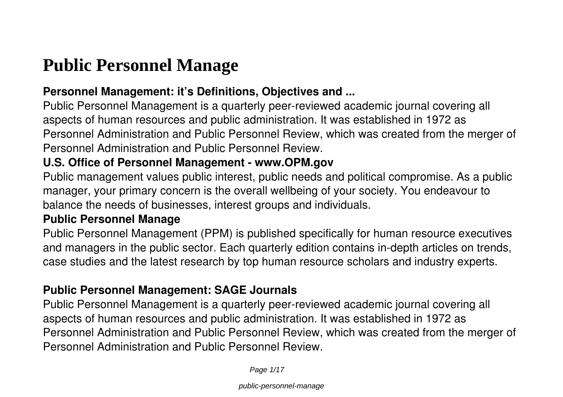# **Public Personnel Manage**

#### **Personnel Management: it's Definitions, Objectives and ...**

Public Personnel Management is a quarterly peer-reviewed academic journal covering all aspects of human resources and public administration. It was established in 1972 as Personnel Administration and Public Personnel Review, which was created from the merger of Personnel Administration and Public Personnel Review.

#### **U.S. Office of Personnel Management - www.OPM.gov**

Public management values public interest, public needs and political compromise. As a public manager, your primary concern is the overall wellbeing of your society. You endeavour to balance the needs of businesses, interest groups and individuals.

#### **Public Personnel Manage**

Public Personnel Management (PPM) is published specifically for human resource executives and managers in the public sector. Each quarterly edition contains in-depth articles on trends, case studies and the latest research by top human resource scholars and industry experts.

#### **Public Personnel Management: SAGE Journals**

Public Personnel Management is a quarterly peer-reviewed academic journal covering all aspects of human resources and public administration. It was established in 1972 as Personnel Administration and Public Personnel Review, which was created from the merger of Personnel Administration and Public Personnel Review.

Page 1/17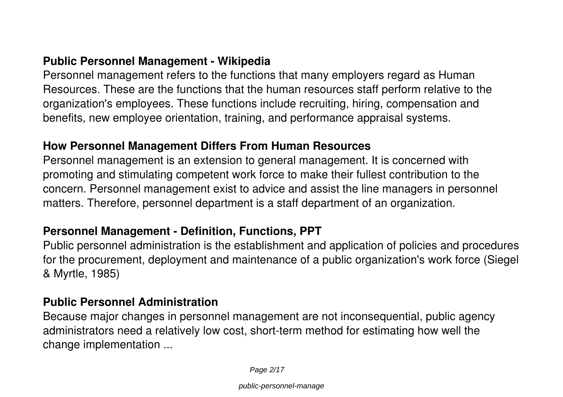#### **Public Personnel Management - Wikipedia**

Personnel management refers to the functions that many employers regard as Human Resources. These are the functions that the human resources staff perform relative to the organization's employees. These functions include recruiting, hiring, compensation and benefits, new employee orientation, training, and performance appraisal systems.

#### **How Personnel Management Differs From Human Resources**

Personnel management is an extension to general management. It is concerned with promoting and stimulating competent work force to make their fullest contribution to the concern. Personnel management exist to advice and assist the line managers in personnel matters. Therefore, personnel department is a staff department of an organization.

#### **Personnel Management - Definition, Functions, PPT**

Public personnel administration is the establishment and application of policies and procedures for the procurement, deployment and maintenance of a public organization's work force (Siegel & Myrtle, 1985)

#### **Public Personnel Administration**

Because major changes in personnel management are not inconsequential, public agency administrators need a relatively low cost, short-term method for estimating how well the change implementation ...

Page 2/17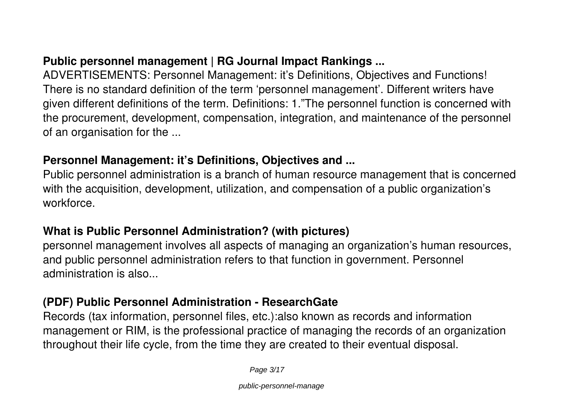#### **Public personnel management | RG Journal Impact Rankings ...**

ADVERTISEMENTS: Personnel Management: it's Definitions, Objectives and Functions! There is no standard definition of the term 'personnel management'. Different writers have given different definitions of the term. Definitions: 1."The personnel function is concerned with the procurement, development, compensation, integration, and maintenance of the personnel of an organisation for the ...

#### **Personnel Management: it's Definitions, Objectives and ...**

Public personnel administration is a branch of human resource management that is concerned with the acquisition, development, utilization, and compensation of a public organization's workforce.

#### **What is Public Personnel Administration? (with pictures)**

personnel management involves all aspects of managing an organization's human resources, and public personnel administration refers to that function in government. Personnel administration is also...

#### **(PDF) Public Personnel Administration - ResearchGate**

Records (tax information, personnel files, etc.):also known as records and information management or RIM, is the professional practice of managing the records of an organization throughout their life cycle, from the time they are created to their eventual disposal.

Page 3/17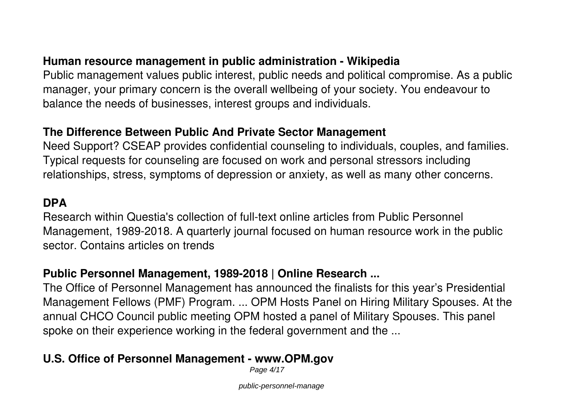#### **Human resource management in public administration - Wikipedia**

Public management values public interest, public needs and political compromise. As a public manager, your primary concern is the overall wellbeing of your society. You endeavour to balance the needs of businesses, interest groups and individuals.

#### **The Difference Between Public And Private Sector Management**

Need Support? CSEAP provides confidential counseling to individuals, couples, and families. Typical requests for counseling are focused on work and personal stressors including relationships, stress, symptoms of depression or anxiety, as well as many other concerns.

#### **DPA**

Research within Questia's collection of full-text online articles from Public Personnel Management, 1989-2018. A quarterly journal focused on human resource work in the public sector. Contains articles on trends

#### **Public Personnel Management, 1989-2018 | Online Research ...**

The Office of Personnel Management has announced the finalists for this year's Presidential Management Fellows (PMF) Program. ... OPM Hosts Panel on Hiring Military Spouses. At the annual CHCO Council public meeting OPM hosted a panel of Military Spouses. This panel spoke on their experience working in the federal government and the ...

#### **U.S. Office of Personnel Management - www.OPM.gov**

Page 4/17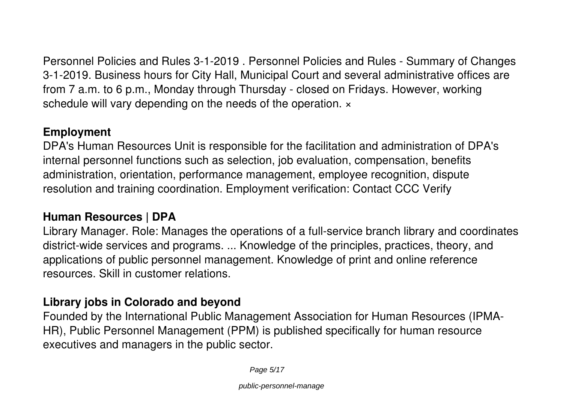Personnel Policies and Rules 3-1-2019 . Personnel Policies and Rules - Summary of Changes 3-1-2019. Business hours for City Hall, Municipal Court and several administrative offices are from 7 a.m. to 6 p.m., Monday through Thursday - closed on Fridays. However, working schedule will vary depending on the needs of the operation.  $\times$ 

#### **Employment**

DPA's Human Resources Unit is responsible for the facilitation and administration of DPA's internal personnel functions such as selection, job evaluation, compensation, benefits administration, orientation, performance management, employee recognition, dispute resolution and training coordination. Employment verification: Contact CCC Verify

#### **Human Resources | DPA**

Library Manager. Role: Manages the operations of a full-service branch library and coordinates district-wide services and programs. ... Knowledge of the principles, practices, theory, and applications of public personnel management. Knowledge of print and online reference resources. Skill in customer relations.

#### **Library jobs in Colorado and beyond**

Founded by the International Public Management Association for Human Resources (IPMA-HR), Public Personnel Management (PPM) is published specifically for human resource executives and managers in the public sector.

Page 5/17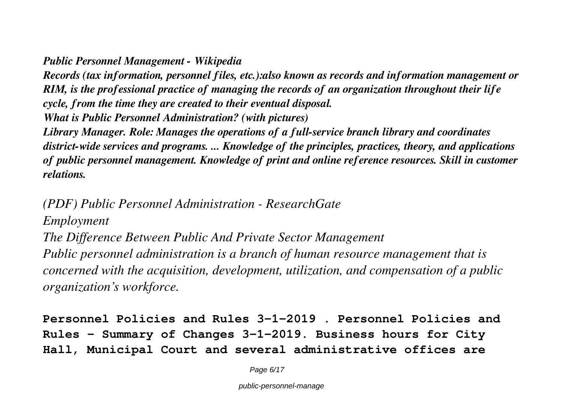#### *Public Personnel Management - Wikipedia*

*Records (tax information, personnel files, etc.):also known as records and information management or RIM, is the professional practice of managing the records of an organization throughout their life cycle, from the time they are created to their eventual disposal. What is Public Personnel Administration? (with pictures)*

*Library Manager. Role: Manages the operations of a full-service branch library and coordinates district-wide services and programs. ... Knowledge of the principles, practices, theory, and applications of public personnel management. Knowledge of print and online reference resources. Skill in customer relations.*

*(PDF) Public Personnel Administration - ResearchGate Employment*

*The Difference Between Public And Private Sector Management Public personnel administration is a branch of human resource management that is concerned with the acquisition, development, utilization, and compensation of a public organization's workforce.*

**Personnel Policies and Rules 3-1-2019 . Personnel Policies and Rules - Summary of Changes 3-1-2019. Business hours for City Hall, Municipal Court and several administrative offices are**

Page 6/17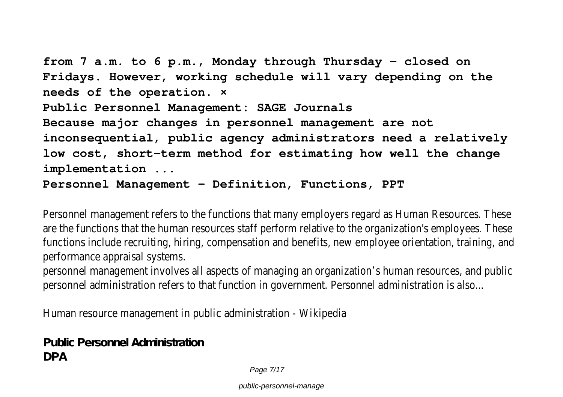**from 7 a.m. to 6 p.m., Monday through Thursday - closed on Fridays. However, working schedule will vary depending on the needs of the operation. × Public Personnel Management: SAGE Journals Because major changes in personnel management are not inconsequential, public agency administrators need a relatively low cost, short-term method for estimating how well the change implementation ...**

**Personnel Management - Definition, Functions, PPT**

Personnel management refers to the functions that many employers regard as Human Resources. These are the functions that the human resources staff perform relative to the organization's employees. These functions include recruiting, hiring, compensation and benefits, new employee orientation, training, and performance appraisal systems.

personnel management involves all aspects of managing an organization's human resources, and public personnel administration refers to that function in government. Personnel administration is also...

Human resource management in public administration - Wikipedia

**Public Personnel Administration DPA**

Page 7/17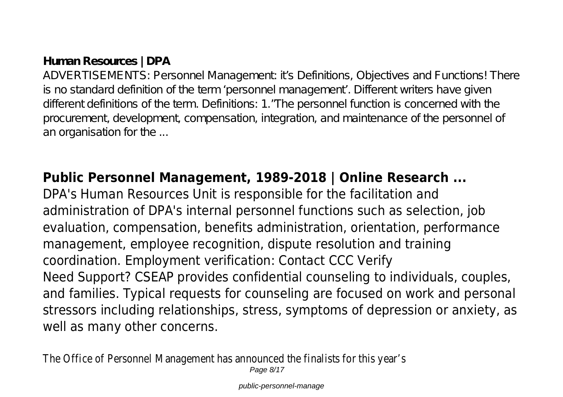# **Human Resources | DPA**

ADVERTISEMENTS: Personnel Management it's Definitions, Objectives and Functions! There is no standard definition of the term 'personnel management'. Different writers have given different definitions of the term. Definitions: 1."The personnel function is concerned with the procurement, development, compensation, integration, and maintenance of the personnel of an organisation for the ...

# **Public Personnel Management, 1989-2018 | Online Research ...**

DPA's Human Resources Unit is responsible for the facilitation and administration of DPA's internal personnel functions such as selection, job evaluation, compensation, benefits administration, orientation, performance management, employee recognition, dispute resolution and training coordination. Employment verification: Contact CCC Verify Need Support? CSEAP provides confidential counseling to individuals, couples, and families. Typical requests for counseling are focused on work and personal stressors including relationships, stress, symptoms of depression or anxiety, as well as many other concerns.

The Office of Personnel Management has announced the finalists for this year's Page 8/17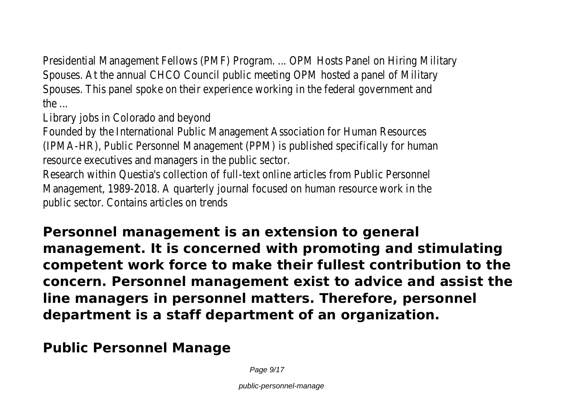Presidential Management Fellows (PMF) Program. ... OPM Hosts Panel on Hiring Military Spouses. At the annual CHCO Council public meeting OPM hosted a panel of Military Spouses. This panel spoke on their experience working in the federal government and the ...

Library jobs in Colorado and beyond

Founded by the International Public Management Association for Human Resources (IPMA-HR), Public Personnel Management (PPM) is published specifically for human resource executives and managers in the public sector.

Research within Questia's collection of full-text online articles from Public Personnel Management, 1989-2018. A quarterly journal focused on human resource work in the public sector. Contains articles on trends

**Personnel management is an extension to general management. It is concerned with promoting and stimulating competent work force to make their fullest contribution to the concern. Personnel management exist to advice and assist the line managers in personnel matters. Therefore, personnel department is a staff department of an organization.**

**Public Personnel Manage**

Page  $9/17$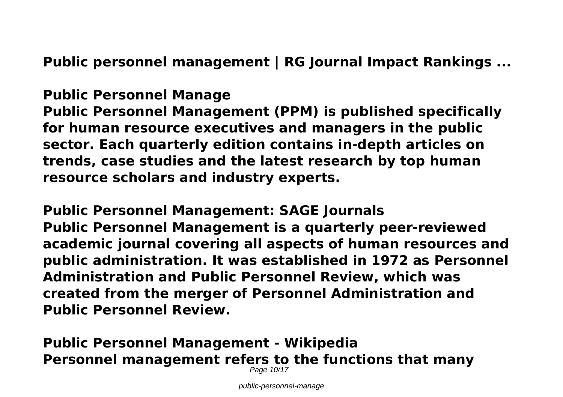**Public personnel management | RG Journal Impact Rankings ...**

# **Public Personnel Manage**

**Public Personnel Management (PPM) is published specifically for human resource executives and managers in the public sector. Each quarterly edition contains in-depth articles on trends, case studies and the latest research by top human resource scholars and industry experts.**

**Public Personnel Management: SAGE Journals Public Personnel Management is a quarterly peer-reviewed academic journal covering all aspects of human resources and public administration. It was established in 1972 as Personnel Administration and Public Personnel Review, which was created from the merger of Personnel Administration and Public Personnel Review.**

**Public Personnel Management - Wikipedia Personnel management refers to the functions that many** Page 10/17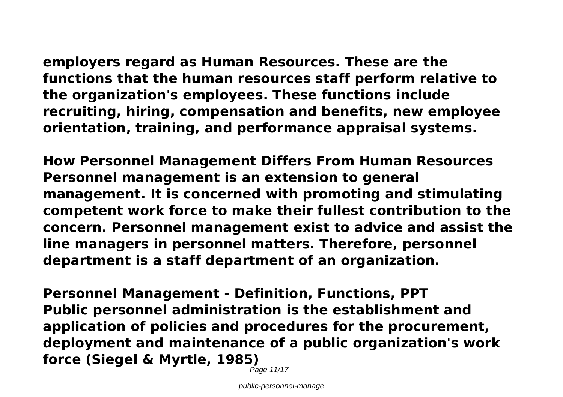**employers regard as Human Resources. These are the functions that the human resources staff perform relative to the organization's employees. These functions include recruiting, hiring, compensation and benefits, new employee**

**orientation, training, and performance appraisal systems.**

**How Personnel Management Differs From Human Resources Personnel management is an extension to general management. It is concerned with promoting and stimulating competent work force to make their fullest contribution to the concern. Personnel management exist to advice and assist the line managers in personnel matters. Therefore, personnel department is a staff department of an organization.**

**Personnel Management - Definition, Functions, PPT Public personnel administration is the establishment and application of policies and procedures for the procurement, deployment and maintenance of a public organization's work force (Siegel & Myrtle, 1985)**

Page 11/17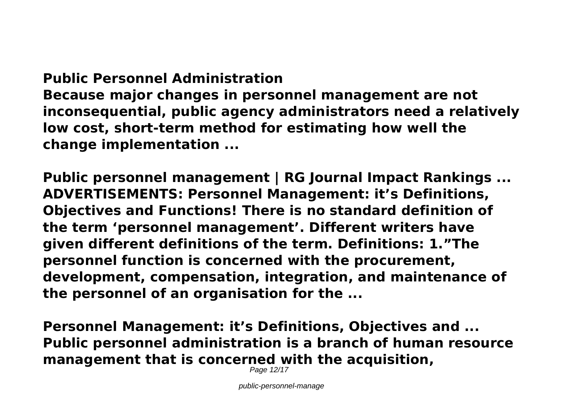# **Public Personnel Administration**

**Because major changes in personnel management are not inconsequential, public agency administrators need a relatively low cost, short-term method for estimating how well the change implementation ...**

**Public personnel management | RG Journal Impact Rankings ... ADVERTISEMENTS: Personnel Management: it's Definitions, Objectives and Functions! There is no standard definition of the term 'personnel management'. Different writers have given different definitions of the term. Definitions: 1."The personnel function is concerned with the procurement, development, compensation, integration, and maintenance of the personnel of an organisation for the ...**

**Personnel Management: it's Definitions, Objectives and ... Public personnel administration is a branch of human resource management that is concerned with the acquisition,**

Page 12/17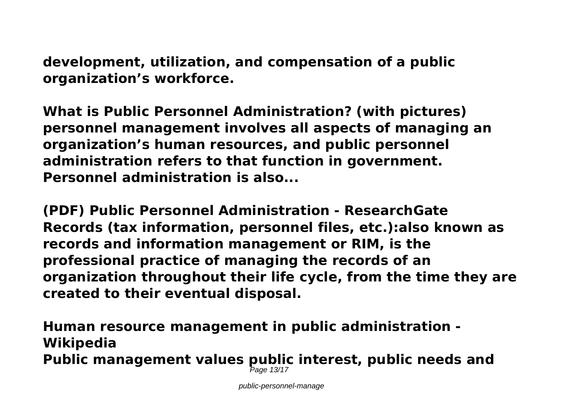**development, utilization, and compensation of a public organization's workforce.**

**What is Public Personnel Administration? (with pictures) personnel management involves all aspects of managing an organization's human resources, and public personnel administration refers to that function in government. Personnel administration is also...**

**(PDF) Public Personnel Administration - ResearchGate Records (tax information, personnel files, etc.):also known as records and information management or RIM, is the professional practice of managing the records of an organization throughout their life cycle, from the time they are created to their eventual disposal.**

**Human resource management in public administration - Wikipedia Public management values public interest, public needs and** Page 13/17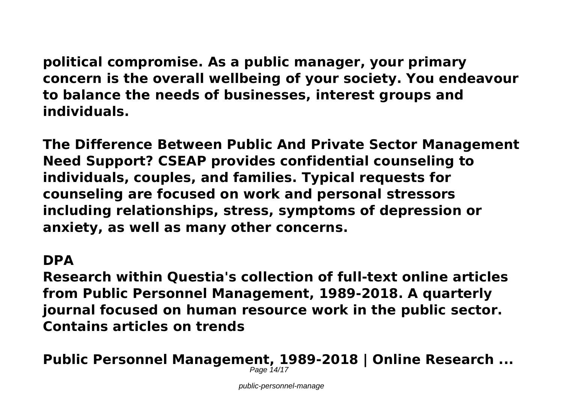**political compromise. As a public manager, your primary concern is the overall wellbeing of your society. You endeavour to balance the needs of businesses, interest groups and individuals.**

**The Difference Between Public And Private Sector Management Need Support? CSEAP provides confidential counseling to individuals, couples, and families. Typical requests for counseling are focused on work and personal stressors including relationships, stress, symptoms of depression or anxiety, as well as many other concerns.**

## **DPA**

**Research within Questia's collection of full-text online articles from Public Personnel Management, 1989-2018. A quarterly journal focused on human resource work in the public sector. Contains articles on trends**

**Public Personnel Management, 1989-2018 | Online Research ...** Page 14/17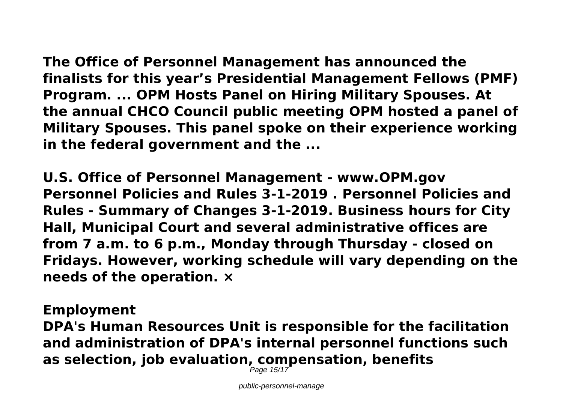**The Office of Personnel Management has announced the finalists for this year's Presidential Management Fellows (PMF) Program. ... OPM Hosts Panel on Hiring Military Spouses. At the annual CHCO Council public meeting OPM hosted a panel of Military Spouses. This panel spoke on their experience working in the federal government and the ...**

**U.S. Office of Personnel Management - www.OPM.gov Personnel Policies and Rules 3-1-2019 . Personnel Policies and Rules - Summary of Changes 3-1-2019. Business hours for City Hall, Municipal Court and several administrative offices are from 7 a.m. to 6 p.m., Monday through Thursday - closed on Fridays. However, working schedule will vary depending on the needs of the operation. ×**

### **Employment**

**DPA's Human Resources Unit is responsible for the facilitation and administration of DPA's internal personnel functions such as selection, job evaluation, compensation, benefits** Page 15/17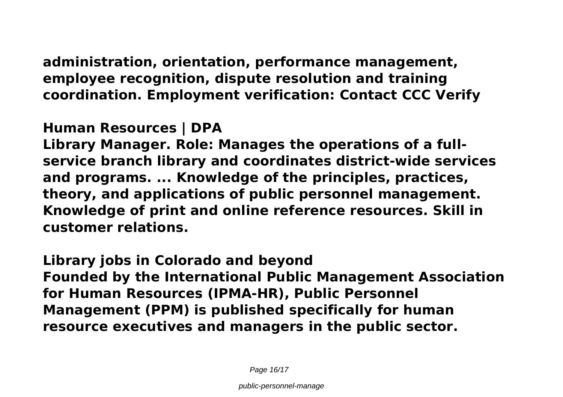**administration, orientation, performance management, employee recognition, dispute resolution and training coordination. Employment verification: Contact CCC Verify**

# **Human Resources | DPA**

**Library Manager. Role: Manages the operations of a fullservice branch library and coordinates district-wide services and programs. ... Knowledge of the principles, practices, theory, and applications of public personnel management. Knowledge of print and online reference resources. Skill in customer relations.**

**Library jobs in Colorado and beyond Founded by the International Public Management Association for Human Resources (IPMA-HR), Public Personnel Management (PPM) is published specifically for human resource executives and managers in the public sector.**

Page 16/17